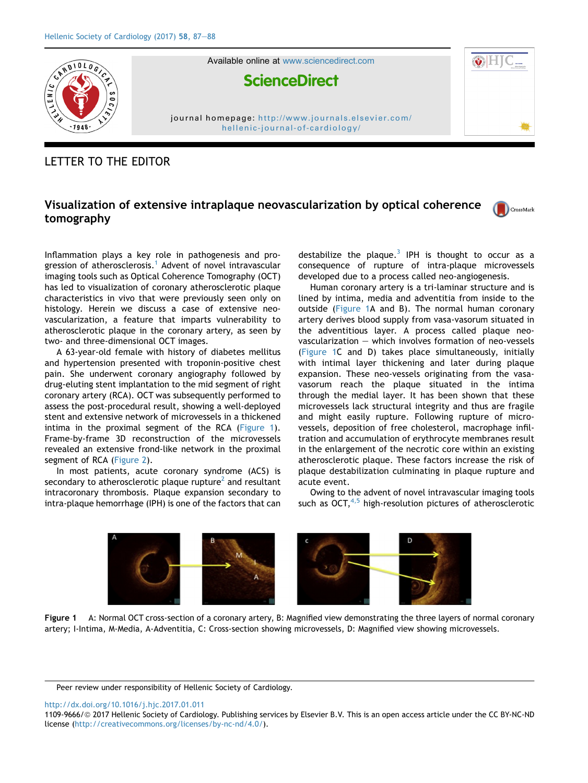

Available online at [www.sciencedirect.com](www.sciencedirect.com/science/journal/11099666)



journal homepage: [http://www.journals.elsevier.com/](http://www.journals.elsevier.com/hellenic-journal-of-cardiology/) [hellenic-journal-of-cardiology/](http://www.journals.elsevier.com/hellenic-journal-of-cardiology/)

## LETTER TO THE EDITOR

## Visualization of extensive intraplaque neovascularization by optical coherence tomography

CrossMark

Inflammation plays a key role in pathogenesis and pro-gression of atherosclerosis.<sup>[1](#page-1-0)</sup> Advent of novel intravascular imaging tools such as Optical Coherence Tomography (OCT) has led to visualization of coronary atherosclerotic plaque characteristics in vivo that were previously seen only on histology. Herein we discuss a case of extensive neovascularization, a feature that imparts vulnerability to atherosclerotic plaque in the coronary artery, as seen by two- and three-dimensional OCT images.

A 63-year-old female with history of diabetes mellitus and hypertension presented with troponin-positive chest pain. She underwent coronary angiography followed by drug-eluting stent implantation to the mid segment of right coronary artery (RCA). OCT was subsequently performed to assess the post-procedural result, showing a well-deployed stent and extensive network of microvessels in a thickened intima in the proximal segment of the RCA (Figure 1). Frame-by-frame 3D reconstruction of the microvessels revealed an extensive frond-like network in the proximal segment of RCA ([Figure 2\)](#page-1-0).

In most patients, acute coronary syndrome (ACS) is secondary to atherosclerotic plaque rupture<sup>[2](#page-1-0)</sup> and resultant intracoronary thrombosis. Plaque expansion secondary to intra-plaque hemorrhage (IPH) is one of the factors that can

destabilize the plaque. $3$  IPH is thought to occur as a consequence of rupture of intra-plaque microvessels developed due to a process called neo-angiogenesis.

Human coronary artery is a tri-laminar structure and is lined by intima, media and adventitia from inside to the outside (Figure 1A and B). The normal human coronary artery derives blood supply from vasa-vasorum situated in the adventitious layer. A process called plaque neovascularization  $-$  which involves formation of neo-vessels (Figure 1C and D) takes place simultaneously, initially with intimal layer thickening and later during plaque expansion. These neo-vessels originating from the vasavasorum reach the plaque situated in the intima through the medial layer. It has been shown that these microvessels lack structural integrity and thus are fragile and might easily rupture. Following rupture of microvessels, deposition of free cholesterol, macrophage infiltration and accumulation of erythrocyte membranes result in the enlargement of the necrotic core within an existing atherosclerotic plaque. These factors increase the risk of plaque destabilization culminating in plaque rupture and acute event.

Owing to the advent of novel intravascular imaging tools such as  $OCT<sub>1</sub><sup>4,5</sup>$  high-resolution pictures of atherosclerotic



Figure 1 A: Normal OCT cross-section of a coronary artery, B: Magnified view demonstrating the three layers of normal coronary artery; I-Intima, M-Media, A-Adventitia, C: Cross-section showing microvessels, D: Magnified view showing microvessels.

<http://dx.doi.org/10.1016/j.hjc.2017.01.011>

Peer review under responsibility of Hellenic Society of Cardiology.

<sup>1109-9666/@ 2017</sup> Hellenic Society of Cardiology. Publishing services by Elsevier B.V. This is an open access article under the CC BY-NC-ND license (<http://creativecommons.org/licenses/by-nc-nd/4.0/>).